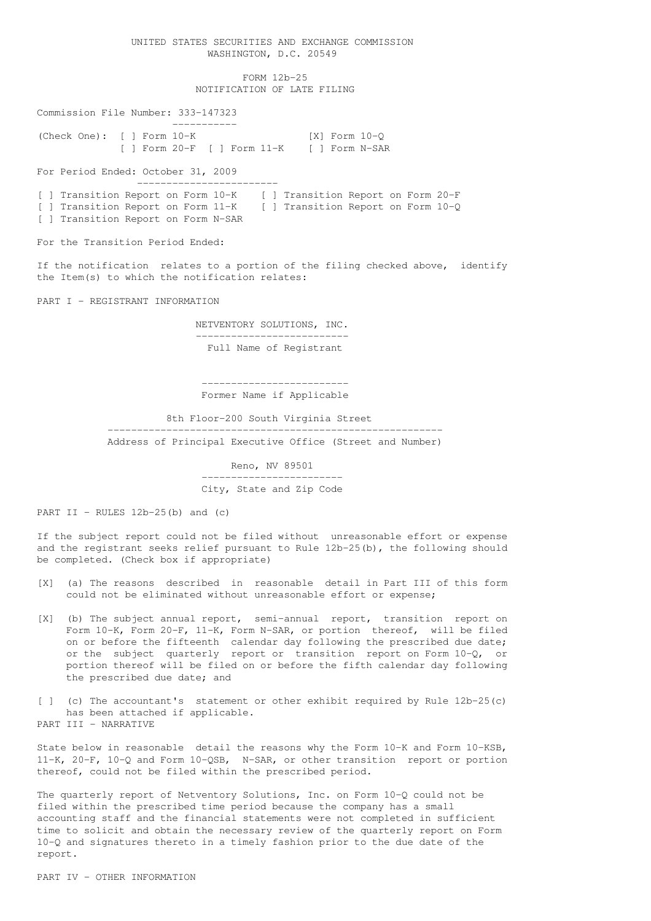## UNITED STATES SECURITIES AND EXCHANGE COMMISSION WASHINGTON, D.C. 20549

FORM 12b-25 NOTIFICATION OF LATE FILING

Commission File Number: 333-147323 ----------- (Check One): [ ] Form 10-K [X] Form 10-Q [ ] Form 20-F [ ] Form 11-K [ ] Form N-SAR

For Period Ended: October 31, 2009 ------------------------

[ ] Transition Report on Form 10-K [ ] Transition Report on Form 20-F [ ] Transition Report on Form 11-K [ ] Transition Report on Form 10-Q [ ] Transition Report on Form N-SAR

For the Transition Period Ended:

If the notification relates to a portion of the filing checked above, identify the Item(s) to which the notification relates:

PART I - REGISTRANT INFORMATION

NETVENTORY SOLUTIONS, INC. -------------------------- Full Name of Registrant

------------------------- Former Name if Applicable

8th Floor-200 South Virginia Street

--------------------------------------------------------- Address of Principal Executive Office (Street and Number)

> Reno, NV 89501 ------------------------ City, State and Zip Code

PART II - RULES  $12b-25(b)$  and  $(c)$ 

If the subject report could not be filed without unreasonable effort or expense and the registrant seeks relief pursuant to Rule 12b-25(b), the following should be completed. (Check box if appropriate)

- [X] (a) The reasons described in reasonable detail in Part III of this form could not be eliminated without unreasonable effort or expense;
- [X] (b) The subject annual report, semi-annual report, transition report on Form 10-K, Form 20-F, 11-K, Form N-SAR, or portion thereof, will be filed on or before the fifteenth calendar day following the prescribed due date; or the subject quarterly report or transition report on Form 10-Q, or portion thereof will be filed on or before the fifth calendar day following the prescribed due date; and

[ ] (c) The accountant's statement or other exhibit required by Rule 12b-25(c) has been attached if applicable. PART III - NARRATIVE

State below in reasonable detail the reasons why the Form 10-K and Form 10-KSB, 11-K, 20-F, 10-Q and Form 10-QSB, N-SAR, or other transition report or portion thereof, could not be filed within the prescribed period.

The quarterly report of Netventory Solutions, Inc. on Form 10-Q could not be filed within the prescribed time period because the company has a small accounting staff and the financial statements were not completed in sufficient time to solicit and obtain the necessary review of the quarterly report on Form 10-Q and signatures thereto in a timely fashion prior to the due date of the report.

PART IV - OTHER INFORMATION